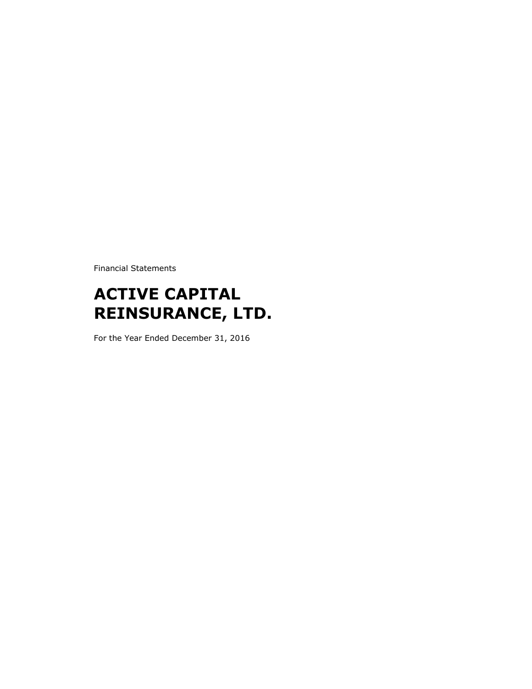Financial Statements

# **ACTIVE CAPITAL REINSURANCE, LTD.**

For the Year Ended December 31, 2016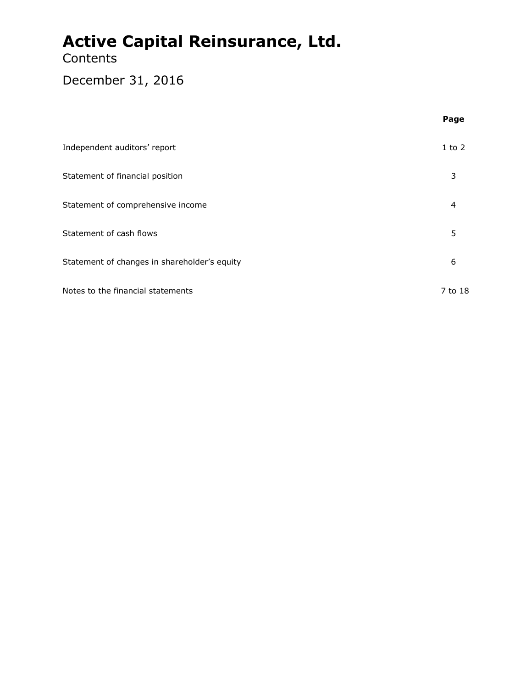### **Contents**

### December 31, 2016

|                                              | Page       |
|----------------------------------------------|------------|
| Independent auditors' report                 | $1$ to $2$ |
| Statement of financial position              | 3          |
| Statement of comprehensive income            | 4          |
| Statement of cash flows                      | 5          |
| Statement of changes in shareholder's equity | 6          |
| Notes to the financial statements            | 7 to 18    |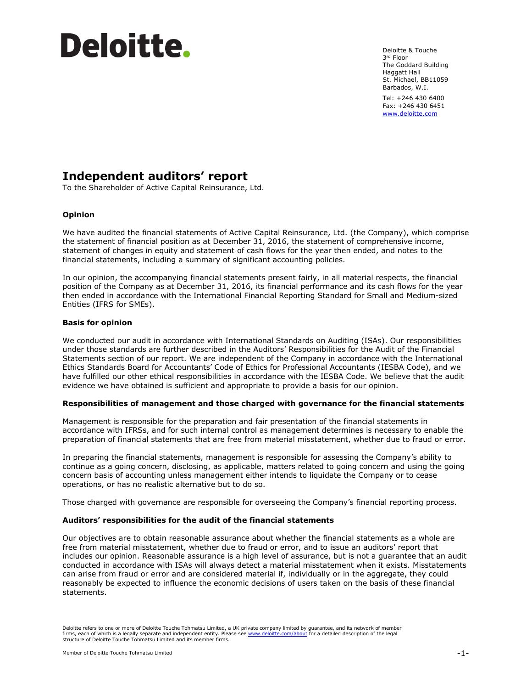# Deloitte.

Deloitte & Touche 3rd Floor The Goddard Building Haggatt Hall St. Michael, BB11059 Barbados, W.I.

Tel: +246 430 6400 Fax: +246 430 6451 [www.deloitte.com](http://www.deloitte.com/)

### **Independent auditors' report**

To the Shareholder of Active Capital Reinsurance, Ltd.

#### **Opinion**

We have audited the financial statements of Active Capital Reinsurance, Ltd. (the Company), which comprise the statement of financial position as at December 31, 2016, the statement of comprehensive income, statement of changes in equity and statement of cash flows for the year then ended, and notes to the financial statements, including a summary of significant accounting policies.

In our opinion, the accompanying financial statements present fairly, in all material respects, the financial position of the Company as at December 31, 2016, its financial performance and its cash flows for the year then ended in accordance with the International Financial Reporting Standard for Small and Medium-sized Entities (IFRS for SMEs).

#### **Basis for opinion**

We conducted our audit in accordance with International Standards on Auditing (ISAs). Our responsibilities under those standards are further described in the Auditors' Responsibilities for the Audit of the Financial Statements section of our report. We are independent of the Company in accordance with the International Ethics Standards Board for Accountants' Code of Ethics for Professional Accountants (IESBA Code), and we have fulfilled our other ethical responsibilities in accordance with the IESBA Code. We believe that the audit evidence we have obtained is sufficient and appropriate to provide a basis for our opinion.

#### **Responsibilities of management and those charged with governance for the financial statements**

Management is responsible for the preparation and fair presentation of the financial statements in accordance with IFRSs, and for such internal control as management determines is necessary to enable the preparation of financial statements that are free from material misstatement, whether due to fraud or error.

In preparing the financial statements, management is responsible for assessing the Company's ability to continue as a going concern, disclosing, as applicable, matters related to going concern and using the going concern basis of accounting unless management either intends to liquidate the Company or to cease operations, or has no realistic alternative but to do so.

Those charged with governance are responsible for overseeing the Company's financial reporting process.

#### **Auditors' responsibilities for the audit of the financial statements**

Our objectives are to obtain reasonable assurance about whether the financial statements as a whole are free from material misstatement, whether due to fraud or error, and to issue an auditors' report that includes our opinion. Reasonable assurance is a high level of assurance, but is not a guarantee that an audit conducted in accordance with ISAs will always detect a material misstatement when it exists. Misstatements can arise from fraud or error and are considered material if, individually or in the aggregate, they could reasonably be expected to influence the economic decisions of users taken on the basis of these financial statements.

Deloitte refers to one or more of Deloitte Touche Tohmatsu Limited, a UK private company limited by guarantee, and its network of member firms, each of which is a legally separate and independent entity. Please see [www.deloitte.com/about](http://www.deloitte.com/about) for a detailed description of the legal structure of Deloitte Touche Tohmatsu Limited and its member firms.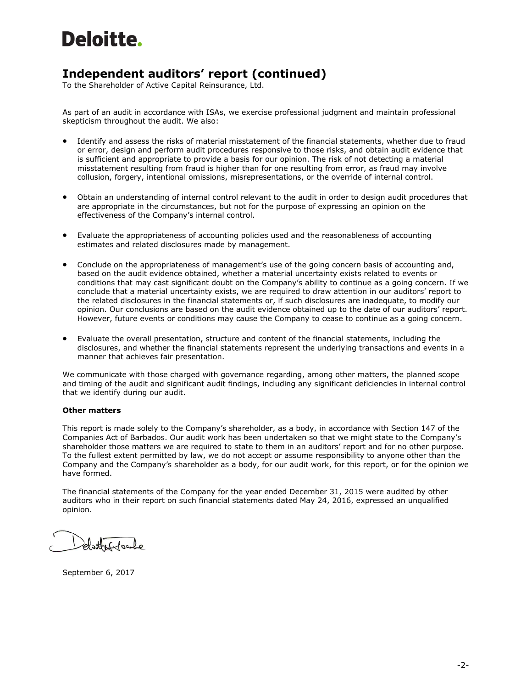# Deloitte.

### **Independent auditors' report (continued)**

To the Shareholder of Active Capital Reinsurance, Ltd.

As part of an audit in accordance with ISAs, we exercise professional judgment and maintain professional skepticism throughout the audit. We also:

- Identify and assess the risks of material misstatement of the financial statements, whether due to fraud or error, design and perform audit procedures responsive to those risks, and obtain audit evidence that is sufficient and appropriate to provide a basis for our opinion. The risk of not detecting a material misstatement resulting from fraud is higher than for one resulting from error, as fraud may involve collusion, forgery, intentional omissions, misrepresentations, or the override of internal control.
- Obtain an understanding of internal control relevant to the audit in order to design audit procedures that are appropriate in the circumstances, but not for the purpose of expressing an opinion on the effectiveness of the Company's internal control.
- Evaluate the appropriateness of accounting policies used and the reasonableness of accounting estimates and related disclosures made by management.
- Conclude on the appropriateness of management's use of the going concern basis of accounting and, based on the audit evidence obtained, whether a material uncertainty exists related to events or conditions that may cast significant doubt on the Company's ability to continue as a going concern. If we conclude that a material uncertainty exists, we are required to draw attention in our auditors' report to the related disclosures in the financial statements or, if such disclosures are inadequate, to modify our opinion. Our conclusions are based on the audit evidence obtained up to the date of our auditors' report. However, future events or conditions may cause the Company to cease to continue as a going concern.
- Evaluate the overall presentation, structure and content of the financial statements, including the disclosures, and whether the financial statements represent the underlying transactions and events in a manner that achieves fair presentation.

We communicate with those charged with governance regarding, among other matters, the planned scope and timing of the audit and significant audit findings, including any significant deficiencies in internal control that we identify during our audit.

#### **Other matters**

This report is made solely to the Company's shareholder, as a body, in accordance with Section 147 of the Companies Act of Barbados. Our audit work has been undertaken so that we might state to the Company's shareholder those matters we are required to state to them in an auditors' report and for no other purpose. To the fullest extent permitted by law, we do not accept or assume responsibility to anyone other than the Company and the Company's shareholder as a body, for our audit work, for this report, or for the opinion we have formed.

The financial statements of the Company for the year ended December 31, 2015 were audited by other auditors who in their report on such financial statements dated May 24, 2016, expressed an unqualified opinion.

obtatti

September 6, 2017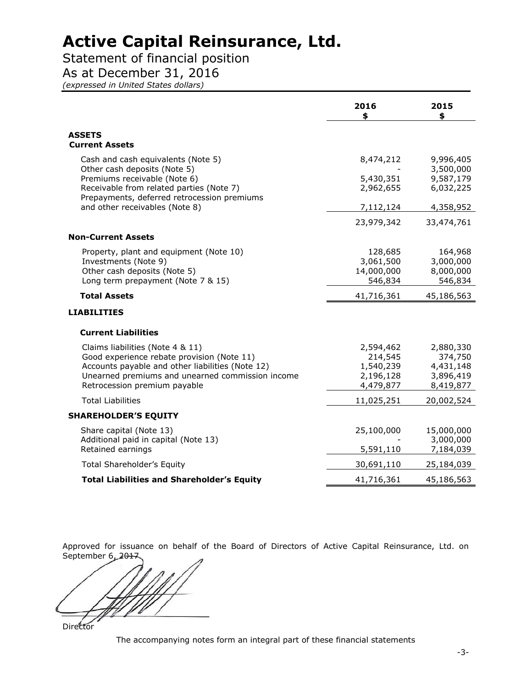### Statement of financial position

As at December 31, 2016

*(expressed in United States dollars)*

|                                                                                                                                                                                                                                 | 2016<br>\$                                                  | 2015<br>\$                                                    |
|---------------------------------------------------------------------------------------------------------------------------------------------------------------------------------------------------------------------------------|-------------------------------------------------------------|---------------------------------------------------------------|
| <b>ASSETS</b><br><b>Current Assets</b>                                                                                                                                                                                          |                                                             |                                                               |
| Cash and cash equivalents (Note 5)<br>Other cash deposits (Note 5)<br>Premiums receivable (Note 6)<br>Receivable from related parties (Note 7)<br>Prepayments, deferred retrocession premiums<br>and other receivables (Note 8) | 8,474,212<br>5,430,351<br>2,962,655<br>7,112,124            | 9,996,405<br>3,500,000<br>9,587,179<br>6,032,225<br>4,358,952 |
|                                                                                                                                                                                                                                 | 23,979,342                                                  | 33,474,761                                                    |
| <b>Non-Current Assets</b>                                                                                                                                                                                                       |                                                             |                                                               |
| Property, plant and equipment (Note 10)<br>Investments (Note 9)<br>Other cash deposits (Note 5)<br>Long term prepayment (Note 7 & 15)                                                                                           | 128,685<br>3,061,500<br>14,000,000<br>546,834               | 164,968<br>3,000,000<br>8,000,000<br>546,834                  |
| <b>Total Assets</b>                                                                                                                                                                                                             | 41,716,361                                                  | 45,186,563                                                    |
| <b>LIABILITIES</b>                                                                                                                                                                                                              |                                                             |                                                               |
| <b>Current Liabilities</b>                                                                                                                                                                                                      |                                                             |                                                               |
| Claims liabilities (Note 4 & 11)<br>Good experience rebate provision (Note 11)<br>Accounts payable and other liabilities (Note 12)<br>Unearned premiums and unearned commission income<br>Retrocession premium payable          | 2,594,462<br>214,545<br>1,540,239<br>2,196,128<br>4,479,877 | 2,880,330<br>374,750<br>4,431,148<br>3,896,419<br>8,419,877   |
| <b>Total Liabilities</b>                                                                                                                                                                                                        | 11,025,251                                                  | 20,002,524                                                    |
| <b>SHAREHOLDER'S EQUITY</b>                                                                                                                                                                                                     |                                                             |                                                               |
| Share capital (Note 13)<br>Additional paid in capital (Note 13)                                                                                                                                                                 | 25,100,000                                                  | 15,000,000<br>3,000,000                                       |
| Retained earnings                                                                                                                                                                                                               | 5,591,110                                                   | 7,184,039                                                     |
| <b>Total Shareholder's Equity</b><br><b>Total Liabilities and Shareholder's Equity</b>                                                                                                                                          | 30,691,110<br>41,716,361                                    | 25,184,039<br>45,186,563                                      |
|                                                                                                                                                                                                                                 |                                                             |                                                               |

Approved for issuance on behalf of the Board of Directors of Active Capital Reinsurance, Ltd. on September 6, 2017

**Director** 

The accompanying notes form an integral part of these financial statements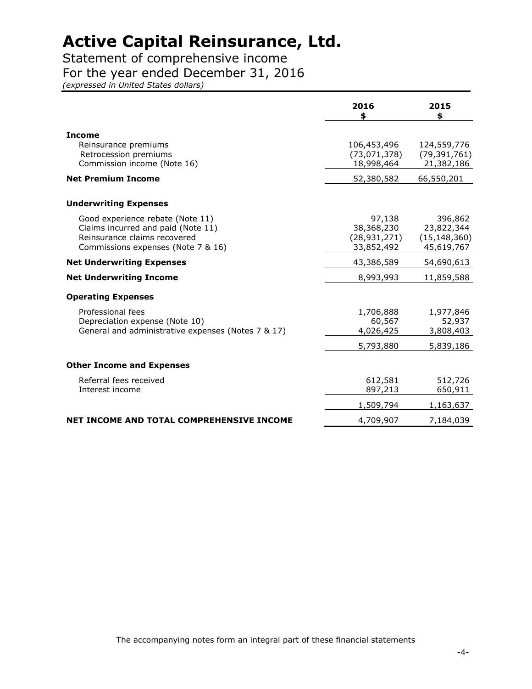Statement of comprehensive income

### For the year ended December 31, 2016

*(expressed in United States dollars)*

|                                                                                                                                              | 2016<br>\$                                           | 2015<br>\$                                            |
|----------------------------------------------------------------------------------------------------------------------------------------------|------------------------------------------------------|-------------------------------------------------------|
| <b>Income</b><br>Reinsurance premiums<br>Retrocession premiums<br>Commission income (Note 16)                                                | 106,453,496<br>(73,071,378)<br>18,998,464            | 124,559,776<br>(79, 391, 761)<br>21,382,186           |
| <b>Net Premium Income</b>                                                                                                                    | 52,380,582                                           | 66,550,201                                            |
| <b>Underwriting Expenses</b>                                                                                                                 |                                                      |                                                       |
| Good experience rebate (Note 11)<br>Claims incurred and paid (Note 11)<br>Reinsurance claims recovered<br>Commissions expenses (Note 7 & 16) | 97,138<br>38,368,230<br>(28, 931, 271)<br>33,852,492 | 396,862<br>23,822,344<br>(15, 148, 360)<br>45,619,767 |
| <b>Net Underwriting Expenses</b>                                                                                                             | 43,386,589                                           | 54,690,613                                            |
| <b>Net Underwriting Income</b>                                                                                                               | 8,993,993                                            | 11,859,588                                            |
| <b>Operating Expenses</b>                                                                                                                    |                                                      |                                                       |
| Professional fees<br>Depreciation expense (Note 10)<br>General and administrative expenses (Notes 7 & 17)                                    | 1,706,888<br>60,567<br>4,026,425                     | 1,977,846<br>52,937<br>3,808,403                      |
|                                                                                                                                              | 5,793,880                                            | 5,839,186                                             |
| <b>Other Income and Expenses</b>                                                                                                             |                                                      |                                                       |
| Referral fees received<br>Interest income                                                                                                    | 612,581<br>897,213                                   | 512,726<br>650,911                                    |
|                                                                                                                                              | 1,509,794                                            | 1,163,637                                             |
| NET INCOME AND TOTAL COMPREHENSIVE INCOME                                                                                                    | 4,709,907                                            | 7,184,039                                             |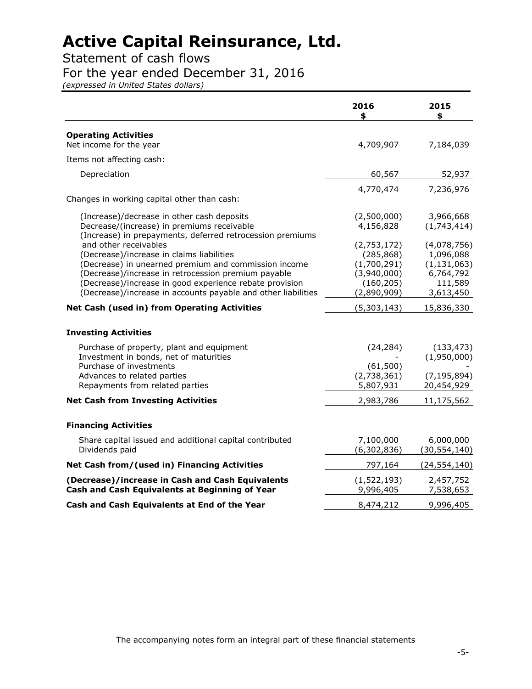Statement of cash flows

For the year ended December 31, 2016

*(expressed in United States dollars)*

|                                                                                     | 2016<br>\$                 | 2015<br>\$                  |
|-------------------------------------------------------------------------------------|----------------------------|-----------------------------|
| <b>Operating Activities</b>                                                         |                            |                             |
| Net income for the year                                                             | 4,709,907                  | 7,184,039                   |
| Items not affecting cash:                                                           |                            |                             |
| Depreciation                                                                        | 60,567                     | 52,937                      |
|                                                                                     | 4,770,474                  | 7,236,976                   |
| Changes in working capital other than cash:                                         |                            |                             |
| (Increase)/decrease in other cash deposits                                          | (2,500,000)                | 3,966,668                   |
| Decrease/(increase) in premiums receivable                                          | 4,156,828                  | (1,743,414)                 |
| (Increase) in prepayments, deferred retrocession premiums<br>and other receivables  |                            |                             |
| (Decrease)/increase in claims liabilities                                           | (2,753,172)<br>(285, 868)  | (4,078,756)<br>1,096,088    |
| (Decrease) in unearned premium and commission income                                | (1,700,291)                | (1, 131, 063)               |
| (Decrease)/increase in retrocession premium payable                                 | (3,940,000)                | 6,764,792                   |
| (Decrease)/increase in good experience rebate provision                             | (160, 205)                 | 111,589                     |
| (Decrease)/increase in accounts payable and other liabilities                       | (2,890,909)                | 3,613,450                   |
| <b>Net Cash (used in) from Operating Activities</b>                                 | (5,303,143)                | 15,836,330                  |
| <b>Investing Activities</b>                                                         |                            |                             |
| Purchase of property, plant and equipment<br>Investment in bonds, net of maturities | (24, 284)                  | (133, 473)<br>(1,950,000)   |
| Purchase of investments                                                             | (61, 500)                  |                             |
| Advances to related parties                                                         | (2,738,361)                | (7, 195, 894)               |
| Repayments from related parties                                                     | 5,807,931                  | 20,454,929                  |
| <b>Net Cash from Investing Activities</b>                                           | 2,983,786                  | 11,175,562                  |
| <b>Financing Activities</b>                                                         |                            |                             |
|                                                                                     |                            |                             |
| Share capital issued and additional capital contributed<br>Dividends paid           | 7,100,000<br>(6, 302, 836) | 6,000,000<br>(30, 554, 140) |
| Net Cash from/(used in) Financing Activities                                        | 797,164                    | (24, 554, 140)              |
| (Decrease)/increase in Cash and Cash Equivalents                                    | (1,522,193)                | 2,457,752                   |
| Cash and Cash Equivalents at Beginning of Year                                      | 9,996,405                  | 7,538,653                   |
| Cash and Cash Equivalents at End of the Year                                        | 8,474,212                  | 9,996,405                   |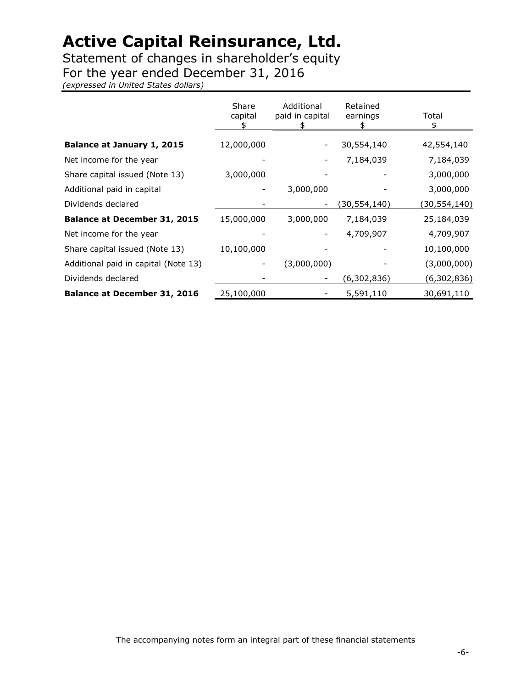Statement of changes in shareholder's equity

For the year ended December 31, 2016

*(expressed in United States dollars)*

|                                      | Share<br>capital | Additional<br>paid in capital | Retained<br>earnings<br>S | Total<br>S     |
|--------------------------------------|------------------|-------------------------------|---------------------------|----------------|
| Balance at January 1, 2015           | 12,000,000       |                               | 30,554,140                | 42,554,140     |
| Net income for the year              |                  |                               | 7,184,039                 | 7,184,039      |
| Share capital issued (Note 13)       | 3,000,000        |                               |                           | 3,000,000      |
| Additional paid in capital           |                  | 3,000,000                     |                           | 3,000,000      |
| Dividends declared                   |                  |                               | (30,554,140)              | (30, 554, 140) |
| <b>Balance at December 31, 2015</b>  | 15,000,000       | 3,000,000                     | 7,184,039                 | 25,184,039     |
| Net income for the year              |                  |                               | 4,709,907                 | 4,709,907      |
| Share capital issued (Note 13)       | 10,100,000       |                               |                           | 10,100,000     |
| Additional paid in capital (Note 13) |                  | (3,000,000)                   |                           | (3,000,000)    |
| Dividends declared                   |                  |                               | (6,302,836)               | (6,302,836)    |
| <b>Balance at December 31, 2016</b>  | 25,100,000       |                               | 5,591,110                 | 30,691,110     |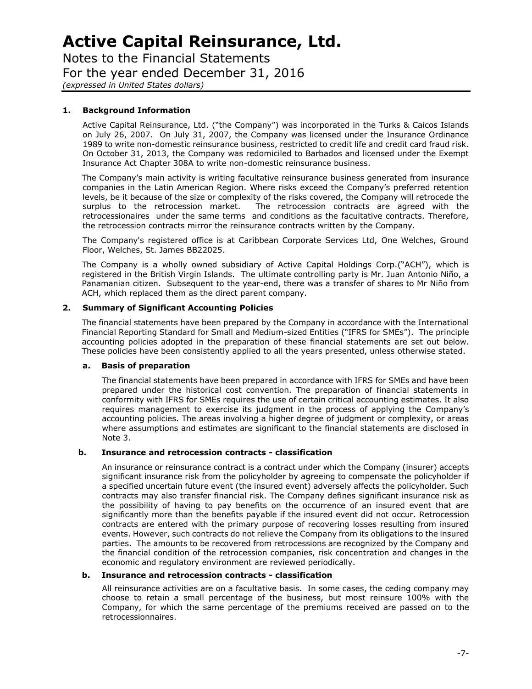Notes to the Financial Statements For the year ended December 31, 2016 *(expressed in United States dollars)*

#### **1. Background Information**

Active Capital Reinsurance, Ltd. ("the Company") was incorporated in the Turks & Caicos Islands on July 26, 2007. On July 31, 2007, the Company was licensed under the Insurance Ordinance 1989 to write non-domestic reinsurance business, restricted to credit life and credit card fraud risk. On October 31, 2013, the Company was redomiciled to Barbados and licensed under the Exempt Insurance Act Chapter 308A to write non-domestic reinsurance business.

The Company's main activity is writing facultative reinsurance business generated from insurance companies in the Latin American Region. Where risks exceed the Company's preferred retention levels, be it because of the size or complexity of the risks covered, the Company will retrocede the surplus to the retrocession market. The retrocession contracts are agreed with the retrocessionaires under the same terms and conditions as the facultative contracts. Therefore, the retrocession contracts mirror the reinsurance contracts written by the Company.

The Company's registered office is at Caribbean Corporate Services Ltd, One Welches, Ground Floor, Welches, St. James BB22025.

The Company is a wholly owned subsidiary of Active Capital Holdings Corp.("ACH"), which is registered in the British Virgin Islands. The ultimate controlling party is Mr. Juan Antonio Niño, a Panamanian citizen. Subsequent to the year-end, there was a transfer of shares to Mr Niño from ACH, which replaced them as the direct parent company.

#### **2. Summary of Significant Accounting Policies**

The financial statements have been prepared by the Company in accordance with the International Financial Reporting Standard for Small and Medium-sized Entities ("IFRS for SMEs"). The principle accounting policies adopted in the preparation of these financial statements are set out below. These policies have been consistently applied to all the years presented, unless otherwise stated.

#### **a. Basis of preparation**

The financial statements have been prepared in accordance with IFRS for SMEs and have been prepared under the historical cost convention. The preparation of financial statements in conformity with IFRS for SMEs requires the use of certain critical accounting estimates. It also requires management to exercise its judgment in the process of applying the Company's accounting policies. The areas involving a higher degree of judgment or complexity, or areas where assumptions and estimates are significant to the financial statements are disclosed in Note 3.

#### **b. Insurance and retrocession contracts - classification**

An insurance or reinsurance contract is a contract under which the Company (insurer) accepts significant insurance risk from the policyholder by agreeing to compensate the policyholder if a specified uncertain future event (the insured event) adversely affects the policyholder. Such contracts may also transfer financial risk. The Company defines significant insurance risk as the possibility of having to pay benefits on the occurrence of an insured event that are significantly more than the benefits payable if the insured event did not occur. Retrocession contracts are entered with the primary purpose of recovering losses resulting from insured events. However, such contracts do not relieve the Company from its obligations to the insured parties. The amounts to be recovered from retrocessions are recognized by the Company and the financial condition of the retrocession companies, risk concentration and changes in the economic and regulatory environment are reviewed periodically.

#### **b. Insurance and retrocession contracts - classification**

All reinsurance activities are on a facultative basis. In some cases, the ceding company may choose to retain a small percentage of the business, but most reinsure 100% with the Company, for which the same percentage of the premiums received are passed on to the retrocessionnaires.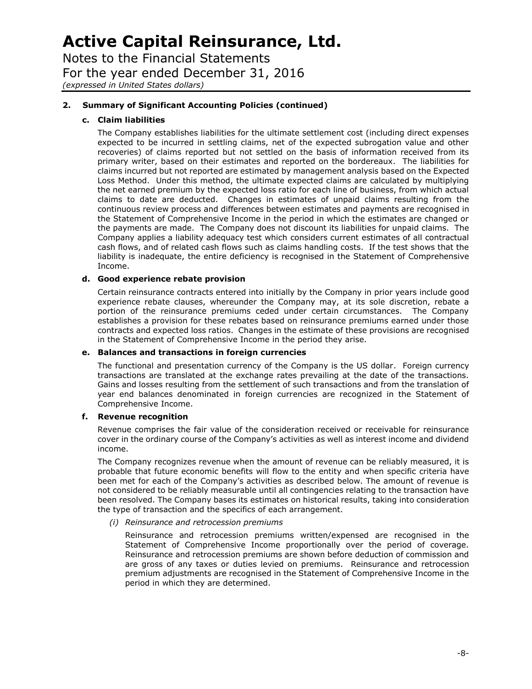Notes to the Financial Statements

For the year ended December 31, 2016

*(expressed in United States dollars)*

#### **2. Summary of Significant Accounting Policies (continued)**

#### **c. Claim liabilities**

The Company establishes liabilities for the ultimate settlement cost (including direct expenses expected to be incurred in settling claims, net of the expected subrogation value and other recoveries) of claims reported but not settled on the basis of information received from its primary writer, based on their estimates and reported on the bordereaux. The liabilities for claims incurred but not reported are estimated by management analysis based on the Expected Loss Method. Under this method, the ultimate expected claims are calculated by multiplying the net earned premium by the expected loss ratio for each line of business, from which actual claims to date are deducted. Changes in estimates of unpaid claims resulting from the continuous review process and differences between estimates and payments are recognised in the Statement of Comprehensive Income in the period in which the estimates are changed or the payments are made. The Company does not discount its liabilities for unpaid claims. The Company applies a liability adequacy test which considers current estimates of all contractual cash flows, and of related cash flows such as claims handling costs. If the test shows that the liability is inadequate, the entire deficiency is recognised in the Statement of Comprehensive Income.

#### **d. Good experience rebate provision**

Certain reinsurance contracts entered into initially by the Company in prior years include good experience rebate clauses, whereunder the Company may, at its sole discretion, rebate a portion of the reinsurance premiums ceded under certain circumstances. The Company establishes a provision for these rebates based on reinsurance premiums earned under those contracts and expected loss ratios. Changes in the estimate of these provisions are recognised in the Statement of Comprehensive Income in the period they arise.

#### **e. Balances and transactions in foreign currencies**

The functional and presentation currency of the Company is the US dollar. Foreign currency transactions are translated at the exchange rates prevailing at the date of the transactions. Gains and losses resulting from the settlement of such transactions and from the translation of year end balances denominated in foreign currencies are recognized in the Statement of Comprehensive Income.

#### **f. Revenue recognition**

Revenue comprises the fair value of the consideration received or receivable for reinsurance cover in the ordinary course of the Company's activities as well as interest income and dividend income.

The Company recognizes revenue when the amount of revenue can be reliably measured, it is probable that future economic benefits will flow to the entity and when specific criteria have been met for each of the Company's activities as described below. The amount of revenue is not considered to be reliably measurable until all contingencies relating to the transaction have been resolved. The Company bases its estimates on historical results, taking into consideration the type of transaction and the specifics of each arrangement.

#### *(i) Reinsurance and retrocession premiums*

Reinsurance and retrocession premiums written/expensed are recognised in the Statement of Comprehensive Income proportionally over the period of coverage. Reinsurance and retrocession premiums are shown before deduction of commission and are gross of any taxes or duties levied on premiums. Reinsurance and retrocession premium adjustments are recognised in the Statement of Comprehensive Income in the period in which they are determined.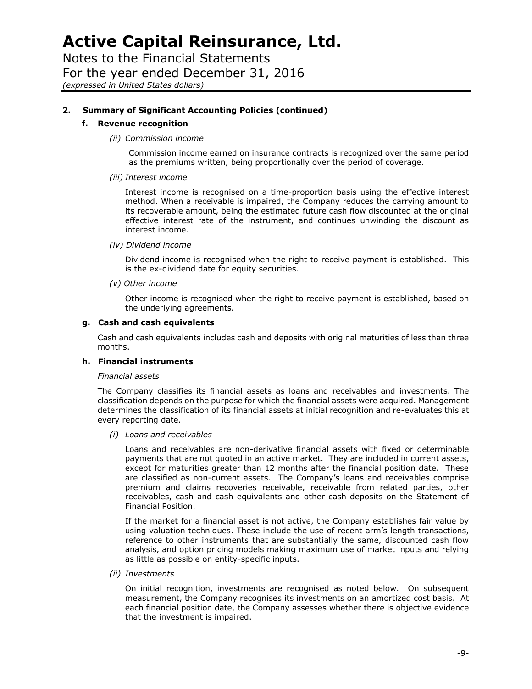Notes to the Financial Statements For the year ended December 31, 2016 *(expressed in United States dollars)*

#### **2. Summary of Significant Accounting Policies (continued)**

#### **f. Revenue recognition**

#### *(ii) Commission income*

Commission income earned on insurance contracts is recognized over the same period as the premiums written, being proportionally over the period of coverage.

#### *(iii) Interest income*

Interest income is recognised on a time-proportion basis using the effective interest method. When a receivable is impaired, the Company reduces the carrying amount to its recoverable amount, being the estimated future cash flow discounted at the original effective interest rate of the instrument, and continues unwinding the discount as interest income.

*(iv) Dividend income*

Dividend income is recognised when the right to receive payment is established. This is the ex-dividend date for equity securities.

*(v) Other income*

Other income is recognised when the right to receive payment is established, based on the underlying agreements.

#### **g. Cash and cash equivalents**

Cash and cash equivalents includes cash and deposits with original maturities of less than three months.

#### **h. Financial instruments**

#### *Financial assets*

The Company classifies its financial assets as loans and receivables and investments. The classification depends on the purpose for which the financial assets were acquired. Management determines the classification of its financial assets at initial recognition and re-evaluates this at every reporting date.

*(i) Loans and receivables*

Loans and receivables are non-derivative financial assets with fixed or determinable payments that are not quoted in an active market. They are included in current assets, except for maturities greater than 12 months after the financial position date. These are classified as non-current assets. The Company's loans and receivables comprise premium and claims recoveries receivable, receivable from related parties, other receivables, cash and cash equivalents and other cash deposits on the Statement of Financial Position.

If the market for a financial asset is not active, the Company establishes fair value by using valuation techniques. These include the use of recent arm's length transactions, reference to other instruments that are substantially the same, discounted cash flow analysis, and option pricing models making maximum use of market inputs and relying as little as possible on entity-specific inputs.

#### *(ii) Investments*

On initial recognition, investments are recognised as noted below. On subsequent measurement, the Company recognises its investments on an amortized cost basis. At each financial position date, the Company assesses whether there is objective evidence that the investment is impaired.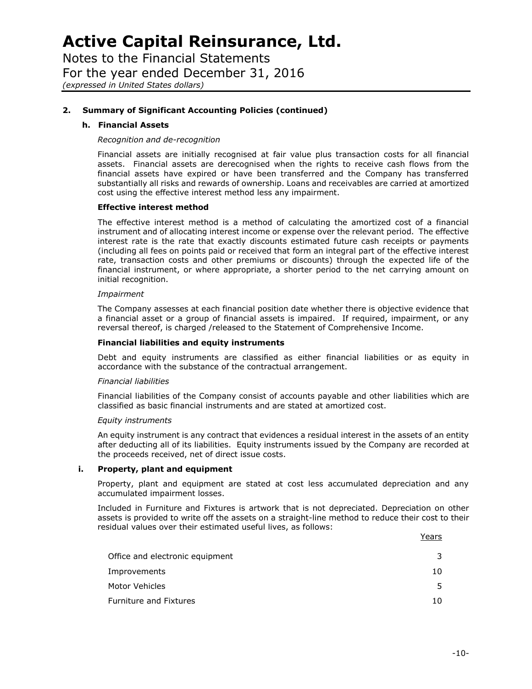Notes to the Financial Statements For the year ended December 31, 2016 *(expressed in United States dollars)*

#### **2. Summary of Significant Accounting Policies (continued)**

#### **h. Financial Assets**

#### *Recognition and de-recognition*

Financial assets are initially recognised at fair value plus transaction costs for all financial assets. Financial assets are derecognised when the rights to receive cash flows from the financial assets have expired or have been transferred and the Company has transferred substantially all risks and rewards of ownership. Loans and receivables are carried at amortized cost using the effective interest method less any impairment.

#### **Effective interest method**

The effective interest method is a method of calculating the amortized cost of a financial instrument and of allocating interest income or expense over the relevant period. The effective interest rate is the rate that exactly discounts estimated future cash receipts or payments (including all fees on points paid or received that form an integral part of the effective interest rate, transaction costs and other premiums or discounts) through the expected life of the financial instrument, or where appropriate, a shorter period to the net carrying amount on initial recognition.

#### *Impairment*

The Company assesses at each financial position date whether there is objective evidence that a financial asset or a group of financial assets is impaired. If required, impairment, or any reversal thereof, is charged /released to the Statement of Comprehensive Income.

#### **Financial liabilities and equity instruments**

Debt and equity instruments are classified as either financial liabilities or as equity in accordance with the substance of the contractual arrangement.

#### *Financial liabilities*

Financial liabilities of the Company consist of accounts payable and other liabilities which are classified as basic financial instruments and are stated at amortized cost.

#### *Equity instruments*

An equity instrument is any contract that evidences a residual interest in the assets of an entity after deducting all of its liabilities. Equity instruments issued by the Company are recorded at the proceeds received, net of direct issue costs.

#### **i. Property, plant and equipment**

Property, plant and equipment are stated at cost less accumulated depreciation and any accumulated impairment losses.

Included in Furniture and Fixtures is artwork that is not depreciated. Depreciation on other assets is provided to write off the assets on a straight-line method to reduce their cost to their residual values over their estimated useful lives, as follows:

| Office and electronic equipment | 3   |
|---------------------------------|-----|
| Improvements                    | 10. |
| Motor Vehicles                  | 5.  |
| Furniture and Fixtures          | 10  |
|                                 |     |

Years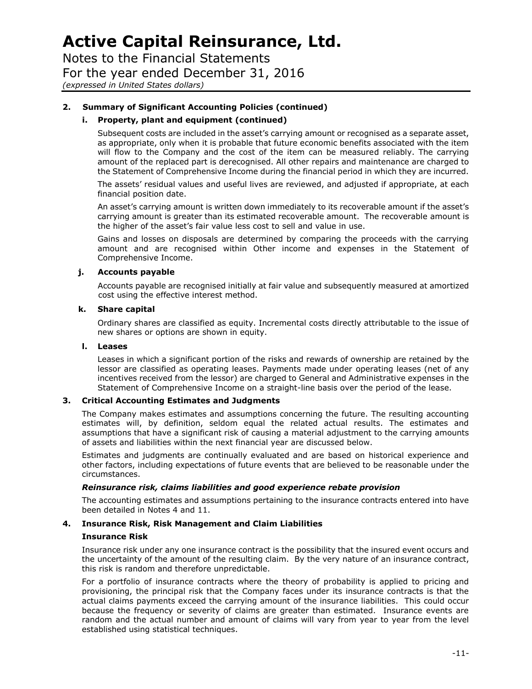Notes to the Financial Statements For the year ended December 31, 2016

*(expressed in United States dollars)*

#### **2. Summary of Significant Accounting Policies (continued)**

#### **i. Property, plant and equipment (continued)**

Subsequent costs are included in the asset's carrying amount or recognised as a separate asset, as appropriate, only when it is probable that future economic benefits associated with the item will flow to the Company and the cost of the item can be measured reliably. The carrying amount of the replaced part is derecognised. All other repairs and maintenance are charged to the Statement of Comprehensive Income during the financial period in which they are incurred.

The assets' residual values and useful lives are reviewed, and adjusted if appropriate, at each financial position date.

An asset's carrying amount is written down immediately to its recoverable amount if the asset's carrying amount is greater than its estimated recoverable amount. The recoverable amount is the higher of the asset's fair value less cost to sell and value in use.

Gains and losses on disposals are determined by comparing the proceeds with the carrying amount and are recognised within Other income and expenses in the Statement of Comprehensive Income.

#### **j. Accounts payable**

Accounts payable are recognised initially at fair value and subsequently measured at amortized cost using the effective interest method.

#### **k. Share capital**

Ordinary shares are classified as equity. Incremental costs directly attributable to the issue of new shares or options are shown in equity.

#### **l. Leases**

Leases in which a significant portion of the risks and rewards of ownership are retained by the lessor are classified as operating leases. Payments made under operating leases (net of any incentives received from the lessor) are charged to General and Administrative expenses in the Statement of Comprehensive Income on a straight-line basis over the period of the lease.

#### **3. Critical Accounting Estimates and Judgments**

The Company makes estimates and assumptions concerning the future. The resulting accounting estimates will, by definition, seldom equal the related actual results. The estimates and assumptions that have a significant risk of causing a material adjustment to the carrying amounts of assets and liabilities within the next financial year are discussed below.

Estimates and judgments are continually evaluated and are based on historical experience and other factors, including expectations of future events that are believed to be reasonable under the circumstances.

#### *Reinsurance risk, claims liabilities and good experience rebate provision*

The accounting estimates and assumptions pertaining to the insurance contracts entered into have been detailed in Notes 4 and 11.

#### **4. Insurance Risk, Risk Management and Claim Liabilities**

#### **Insurance Risk**

Insurance risk under any one insurance contract is the possibility that the insured event occurs and the uncertainty of the amount of the resulting claim. By the very nature of an insurance contract, this risk is random and therefore unpredictable.

For a portfolio of insurance contracts where the theory of probability is applied to pricing and provisioning, the principal risk that the Company faces under its insurance contracts is that the actual claims payments exceed the carrying amount of the insurance liabilities. This could occur because the frequency or severity of claims are greater than estimated. Insurance events are random and the actual number and amount of claims will vary from year to year from the level established using statistical techniques.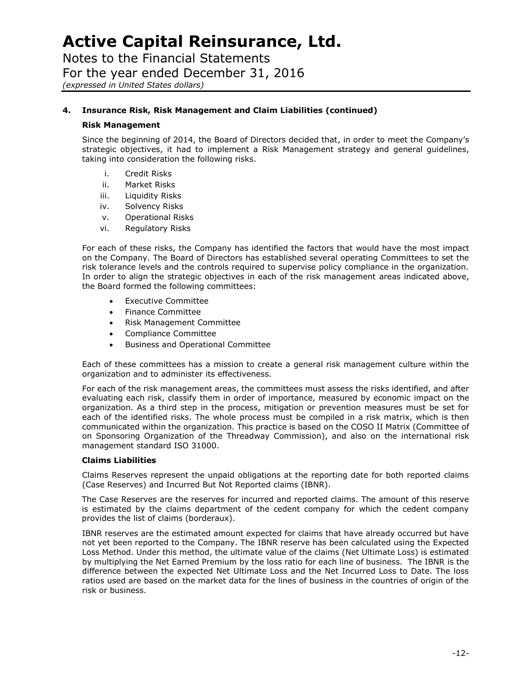Notes to the Financial Statements For the year ended December 31, 2016 *(expressed in United States dollars)*

#### **4. Insurance Risk, Risk Management and Claim Liabilities (continued)**

#### **Risk Management**

Since the beginning of 2014, the Board of Directors decided that, in order to meet the Company's strategic objectives, it had to implement a Risk Management strategy and general guidelines, taking into consideration the following risks.

- i. Credit Risks
- ii. Market Risks
- iii. Liquidity Risks
- iv. Solvency Risks
- v. Operational Risks
- vi. Regulatory Risks

For each of these risks, the Company has identified the factors that would have the most impact on the Company. The Board of Directors has established several operating Committees to set the risk tolerance levels and the controls required to supervise policy compliance in the organization. In order to align the strategic objectives in each of the risk management areas indicated above, the Board formed the following committees:

- Executive Committee
- Finance Committee
- Risk Management Committee
- Compliance Committee
- **•** Business and Operational Committee

Each of these committees has a mission to create a general risk management culture within the organization and to administer its effectiveness.

For each of the risk management areas, the committees must assess the risks identified, and after evaluating each risk, classify them in order of importance, measured by economic impact on the organization. As a third step in the process, mitigation or prevention measures must be set for each of the identified risks. The whole process must be compiled in a risk matrix, which is then communicated within the organization. This practice is based on the COSO II Matrix (Committee of on Sponsoring Organization of the Threadway Commission), and also on the international risk management standard ISO 31000.

#### **Claims Liabilities**

Claims Reserves represent the unpaid obligations at the reporting date for both reported claims (Case Reserves) and Incurred But Not Reported claims (IBNR).

The Case Reserves are the reserves for incurred and reported claims. The amount of this reserve is estimated by the claims department of the cedent company for which the cedent company provides the list of claims (borderaux).

IBNR reserves are the estimated amount expected for claims that have already occurred but have not yet been reported to the Company. The IBNR reserve has been calculated using the Expected Loss Method. Under this method, the ultimate value of the claims (Net Ultimate Loss) is estimated by multiplying the Net Earned Premium by the loss ratio for each line of business. The IBNR is the difference between the expected Net Ultimate Loss and the Net Incurred Loss to Date. The loss ratios used are based on the market data for the lines of business in the countries of origin of the risk or business.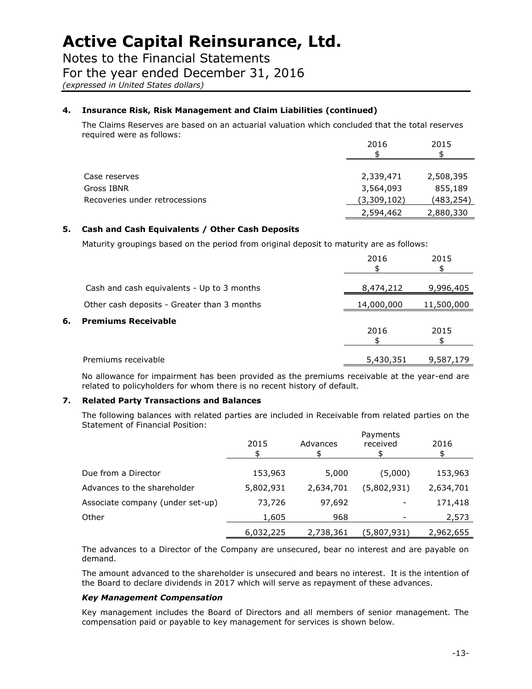Notes to the Financial Statements For the year ended December 31, 2016

*(expressed in United States dollars)*

#### **4. Insurance Risk, Risk Management and Claim Liabilities (continued)**

The Claims Reserves are based on an actuarial valuation which concluded that the total reserves required were as follows:

|                                | 2016        | 2015      |
|--------------------------------|-------------|-----------|
|                                |             |           |
| Case reserves                  | 2,339,471   | 2,508,395 |
| Gross IBNR                     | 3,564,093   | 855,189   |
| Recoveries under retrocessions | (3,309,102) | (483,254) |
|                                | 2,594,462   | 2,880,330 |

#### **5. Cash and Cash Equivalents / Other Cash Deposits**

Maturity groupings based on the period from original deposit to maturity are as follows:

|                                             | 2016       | 2015       |
|---------------------------------------------|------------|------------|
| Cash and cash equivalents - Up to 3 months  | 8,474,212  | 9,996,405  |
| Other cash deposits - Greater than 3 months | 14,000,000 | 11,500,000 |
| <b>Premiums Receivable</b><br>6.            | 2016       | 2015       |
| Premiums receivable                         | 5,430,351  | 9,587,179  |

No allowance for impairment has been provided as the premiums receivable at the year-end are related to policyholders for whom there is no recent history of default.

#### **7. Related Party Transactions and Balances**

The following balances with related parties are included in Receivable from related parties on the Statement of Financial Position:

|                                  | 2015      | Advances  | Payments<br>received | 2016      |
|----------------------------------|-----------|-----------|----------------------|-----------|
| Due from a Director              | 153,963   | 5,000     | (5,000)              | 153,963   |
| Advances to the shareholder      | 5,802,931 | 2,634,701 | (5,802,931)          | 2,634,701 |
| Associate company (under set-up) | 73,726    | 97,692    |                      | 171,418   |
| Other                            | 1,605     | 968       |                      | 2,573     |
|                                  | 6,032,225 | 2,738,361 | (5,807,931)          | 2,962,655 |

The advances to a Director of the Company are unsecured, bear no interest and are payable on demand.

The amount advanced to the shareholder is unsecured and bears no interest. It is the intention of the Board to declare dividends in 2017 which will serve as repayment of these advances.

#### *Key Management Compensation*

Key management includes the Board of Directors and all members of senior management. The compensation paid or payable to key management for services is shown below.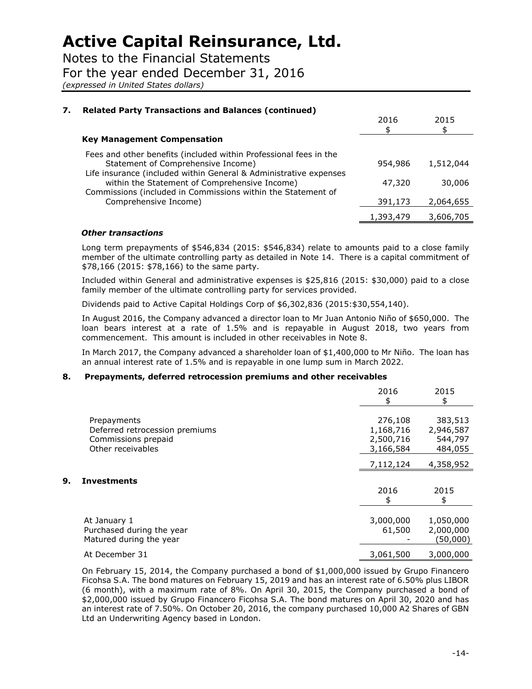Notes to the Financial Statements For the year ended December 31, 2016 *(expressed in United States dollars)*

| 7. | <b>Related Party Transactions and Balances (continued)</b>                                                                                                                   |           |           |
|----|------------------------------------------------------------------------------------------------------------------------------------------------------------------------------|-----------|-----------|
|    |                                                                                                                                                                              | 2016      | 2015      |
|    | <b>Key Management Compensation</b>                                                                                                                                           |           |           |
|    | Fees and other benefits (included within Professional fees in the<br>Statement of Comprehensive Income)<br>Life insurance (included within General & Administrative expenses | 954,986   | 1,512,044 |
|    | within the Statement of Comprehensive Income)<br>Commissions (included in Commissions within the Statement of                                                                | 47,320    | 30,006    |
|    | Comprehensive Income)                                                                                                                                                        | 391,173   | 2,064,655 |
|    |                                                                                                                                                                              | 1,393,479 | 3,606,705 |

#### *Other transactions*

**9. Investments** 

Long term prepayments of \$546,834 (2015: \$546,834) relate to amounts paid to a close family member of the ultimate controlling party as detailed in Note 14. There is a capital commitment of \$78,166 (2015: \$78,166) to the same party.

Included within General and administrative expenses is \$25,816 (2015: \$30,000) paid to a close family member of the ultimate controlling party for services provided.

Dividends paid to Active Capital Holdings Corp of \$6,302,836 (2015:\$30,554,140).

In August 2016, the Company advanced a director loan to Mr Juan Antonio Niño of \$650,000. The loan bears interest at a rate of 1.5% and is repayable in August 2018, two years from commencement. This amount is included in other receivables in Note 8.

In March 2017, the Company advanced a shareholder loan of \$1,400,000 to Mr Niño. The loan has an annual interest rate of 1.5% and is repayable in one lump sum in March 2022.

#### **8. Prepayments, deferred retrocession premiums and other receivables**

|                                | 2016<br>\$ | 2015      |
|--------------------------------|------------|-----------|
|                                |            |           |
| Prepayments                    | 276,108    | 383,513   |
| Deferred retrocession premiums | 1,168,716  | 2,946,587 |
| Commissions prepaid            | 2,500,716  | 544,797   |
| Other receivables              | 3,166,584  | 484,055   |
|                                | 7,112,124  | 4,358,952 |
| <b>Investments</b>             |            |           |
|                                | 2016       | 2015      |
|                                | \$         | \$        |
|                                |            |           |
| At January 1                   | 3,000,000  | 1,050,000 |
| Purchased during the year      | 61,500     | 2,000,000 |
| Matured during the year        |            | (50,000)  |
| At December 31                 | 3,061,500  | 3,000,000 |

On February 15, 2014, the Company purchased a bond of \$1,000,000 issued by Grupo Financero Ficohsa S.A. The bond matures on February 15, 2019 and has an interest rate of 6.50% plus LIBOR (6 month), with a maximum rate of 8%. On April 30, 2015, the Company purchased a bond of \$2,000,000 issued by Grupo Financero Ficohsa S.A. The bond matures on April 30, 2020 and has an interest rate of 7.50%. On October 20, 2016, the company purchased 10,000 A2 Shares of GBN Ltd an Underwriting Agency based in London.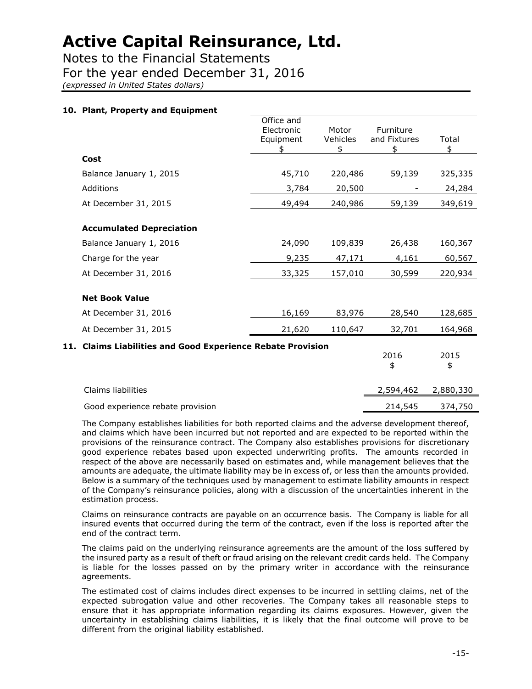Notes to the Financial Statements For the year ended December 31, 2016 *(expressed in United States dollars)*

#### **10. Plant, Property and Equipment**

|     |                                                                | Office and |          |              |           |
|-----|----------------------------------------------------------------|------------|----------|--------------|-----------|
|     |                                                                | Electronic | Motor    | Furniture    |           |
|     |                                                                | Equipment  | Vehicles | and Fixtures | Total     |
|     |                                                                | \$         | \$       | \$           | \$        |
|     | Cost                                                           |            |          |              |           |
|     | Balance January 1, 2015                                        | 45,710     | 220,486  | 59,139       | 325,335   |
|     | Additions                                                      | 3,784      | 20,500   |              | 24,284    |
|     | At December 31, 2015                                           | 49,494     | 240,986  | 59,139       | 349,619   |
|     | <b>Accumulated Depreciation</b>                                |            |          |              |           |
|     | Balance January 1, 2016                                        | 24,090     | 109,839  | 26,438       | 160,367   |
|     | Charge for the year                                            | 9,235      | 47,171   | 4,161        | 60,567    |
|     | At December 31, 2016                                           | 33,325     | 157,010  | 30,599       | 220,934   |
|     | <b>Net Book Value</b>                                          |            |          |              |           |
|     | At December 31, 2016                                           | 16,169     | 83,976   | 28,540       | 128,685   |
|     | At December 31, 2015                                           | 21,620     | 110,647  | 32,701       | 164,968   |
| 11. | <b>Claims Liabilities and Good Experience Rebate Provision</b> |            |          |              |           |
|     |                                                                |            |          | 2016         | 2015      |
|     |                                                                |            |          | \$           | \$        |
|     | Claims liabilities                                             |            |          | 2,594,462    | 2,880,330 |
|     |                                                                |            |          |              |           |
|     | Good experience rebate provision                               |            |          | 214,545      | 374,750   |

The Company establishes liabilities for both reported claims and the adverse development thereof, and claims which have been incurred but not reported and are expected to be reported within the provisions of the reinsurance contract. The Company also establishes provisions for discretionary good experience rebates based upon expected underwriting profits. The amounts recorded in respect of the above are necessarily based on estimates and, while management believes that the amounts are adequate, the ultimate liability may be in excess of, or less than the amounts provided. Below is a summary of the techniques used by management to estimate liability amounts in respect of the Company's reinsurance policies, along with a discussion of the uncertainties inherent in the estimation process.

Claims on reinsurance contracts are payable on an occurrence basis. The Company is liable for all insured events that occurred during the term of the contract, even if the loss is reported after the end of the contract term.

The claims paid on the underlying reinsurance agreements are the amount of the loss suffered by the insured party as a result of theft or fraud arising on the relevant credit cards held. The Company is liable for the losses passed on by the primary writer in accordance with the reinsurance agreements.

The estimated cost of claims includes direct expenses to be incurred in settling claims, net of the expected subrogation value and other recoveries. The Company takes all reasonable steps to ensure that it has appropriate information regarding its claims exposures. However, given the uncertainty in establishing claims liabilities, it is likely that the final outcome will prove to be different from the original liability established.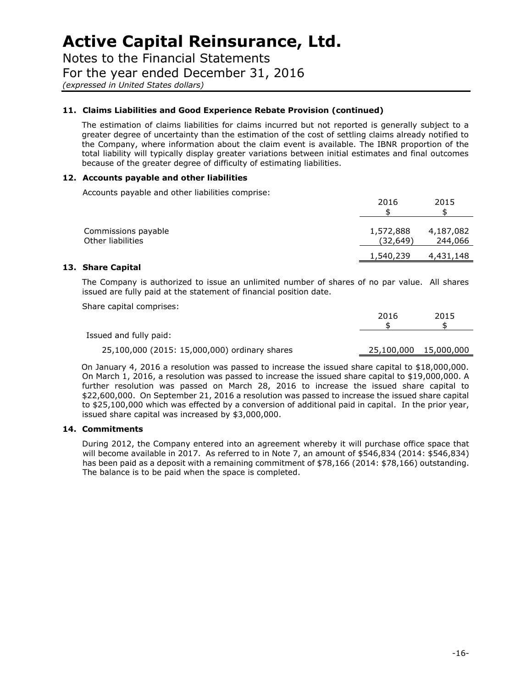Notes to the Financial Statements For the year ended December 31, 2016 *(expressed in United States dollars)*

#### **11. Claims Liabilities and Good Experience Rebate Provision (continued)**

The estimation of claims liabilities for claims incurred but not reported is generally subject to a greater degree of uncertainty than the estimation of the cost of settling claims already notified to the Company, where information about the claim event is available. The IBNR proportion of the total liability will typically display greater variations between initial estimates and final outcomes because of the greater degree of difficulty of estimating liabilities.

#### **12. Accounts payable and other liabilities**

Accounts payable and other liabilities comprise:

|                                          | 2016                  | 2015                 |
|------------------------------------------|-----------------------|----------------------|
| Commissions payable<br>Other liabilities | 1,572,888<br>(32,649) | 4,187,082<br>244,066 |
|                                          | 1,540,239             | 4,431,148            |

#### **13. Share Capital**

The Company is authorized to issue an unlimited number of shares of no par value. All shares issued are fully paid at the statement of financial position date.

Share capital comprises:

| 25,100,000 15,000,000 |  |
|-----------------------|--|
|                       |  |

On January 4, 2016 a resolution was passed to increase the issued share capital to \$18,000,000. On March 1, 2016, a resolution was passed to increase the issued share capital to \$19,000,000. A further resolution was passed on March 28, 2016 to increase the issued share capital to \$22,600,000. On September 21, 2016 a resolution was passed to increase the issued share capital to \$25,100,000 which was effected by a conversion of additional paid in capital. In the prior year, issued share capital was increased by \$3,000,000.

#### **14. Commitments**

During 2012, the Company entered into an agreement whereby it will purchase office space that will become available in 2017. As referred to in Note 7, an amount of \$546,834 (2014: \$546,834) has been paid as a deposit with a remaining commitment of \$78,166 (2014: \$78,166) outstanding. The balance is to be paid when the space is completed.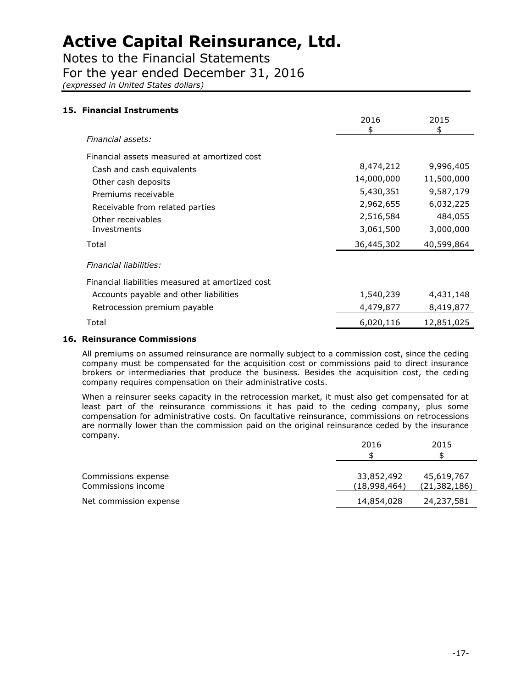Notes to the Financial Statements

### For the year ended December 31, 2016

*(expressed in United States dollars)*

| 15. Financial Instruments                        |            |            |
|--------------------------------------------------|------------|------------|
|                                                  | 2016       | 2015       |
| Financial assets:                                | \$         | \$         |
|                                                  |            |            |
| Financial assets measured at amortized cost      |            |            |
| Cash and cash equivalents                        | 8,474,212  | 9,996,405  |
| Other cash deposits                              | 14,000,000 | 11,500,000 |
| Premiums receivable                              | 5,430,351  | 9,587,179  |
| Receivable from related parties                  | 2,962,655  | 6,032,225  |
| Other receivables                                | 2,516,584  | 484,055    |
| Investments                                      | 3,061,500  | 3,000,000  |
| Total                                            | 36,445,302 | 40,599,864 |
| Financial liabilities:                           |            |            |
| Financial liabilities measured at amortized cost |            |            |
| Accounts payable and other liabilities           | 1,540,239  | 4,431,148  |
| Retrocession premium payable                     | 4,479,877  | 8,419,877  |
| Total                                            | 6,020,116  | 12,851,025 |

#### **16. Reinsurance Commissions**

All premiums on assumed reinsurance are normally subject to a commission cost, since the ceding company must be compensated for the acquisition cost or commissions paid to direct insurance brokers or intermediaries that produce the business. Besides the acquisition cost, the ceding company requires compensation on their administrative costs.

When a reinsurer seeks capacity in the retrocession market, it must also get compensated for at least part of the reinsurance commissions it has paid to the ceding company, plus some compensation for administrative costs. On facultative reinsurance, commissions on retrocessions are normally lower than the commission paid on the original reinsurance ceded by the insurance company.

|                                           | 2016                       | 2015                       |
|-------------------------------------------|----------------------------|----------------------------|
|                                           |                            |                            |
| Commissions expense<br>Commissions income | 33,852,492<br>(18,998,464) | 45,619,767<br>(21,382,186) |
| Net commission expense                    | 14,854,028                 | 24,237,581                 |